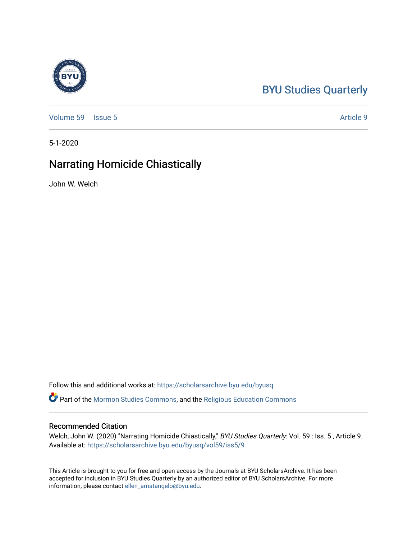# [BYU Studies Quarterly](https://scholarsarchive.byu.edu/byusq)

[Volume 59](https://scholarsarchive.byu.edu/byusq/vol59) | [Issue 5](https://scholarsarchive.byu.edu/byusq/vol59/iss5) Article 9

5-1-2020

## Narrating Homicide Chiastically

John W. Welch

Follow this and additional works at: [https://scholarsarchive.byu.edu/byusq](https://scholarsarchive.byu.edu/byusq?utm_source=scholarsarchive.byu.edu%2Fbyusq%2Fvol59%2Fiss5%2F9&utm_medium=PDF&utm_campaign=PDFCoverPages) 

Part of the [Mormon Studies Commons](http://network.bepress.com/hgg/discipline/1360?utm_source=scholarsarchive.byu.edu%2Fbyusq%2Fvol59%2Fiss5%2F9&utm_medium=PDF&utm_campaign=PDFCoverPages), and the [Religious Education Commons](http://network.bepress.com/hgg/discipline/1414?utm_source=scholarsarchive.byu.edu%2Fbyusq%2Fvol59%2Fiss5%2F9&utm_medium=PDF&utm_campaign=PDFCoverPages) 

#### Recommended Citation

Welch, John W. (2020) "Narrating Homicide Chiastically," BYU Studies Quarterly: Vol. 59 : Iss. 5, Article 9. Available at: [https://scholarsarchive.byu.edu/byusq/vol59/iss5/9](https://scholarsarchive.byu.edu/byusq/vol59/iss5/9?utm_source=scholarsarchive.byu.edu%2Fbyusq%2Fvol59%2Fiss5%2F9&utm_medium=PDF&utm_campaign=PDFCoverPages)

This Article is brought to you for free and open access by the Journals at BYU ScholarsArchive. It has been accepted for inclusion in BYU Studies Quarterly by an authorized editor of BYU ScholarsArchive. For more information, please contact [ellen\\_amatangelo@byu.edu.](mailto:ellen_amatangelo@byu.edu)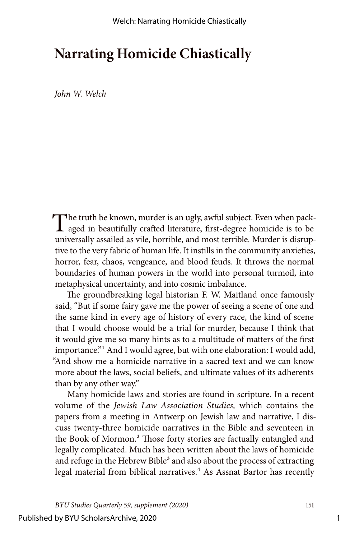# **Narrating Homicide Chiastically**

*John W. Welch*

The truth be known, murder is an ugly, awful subject. Even when pack-<br>aged in beautifully crafted literature, first-degree homicide is to be universally assailed as vile, horrible, and most terrible. Murder is disruptive to the very fabric of human life. It instills in the community anxieties, horror, fear, chaos, vengeance, and blood feuds. It throws the normal boundaries of human powers in the world into personal turmoil, into metaphysical uncertainty, and into cosmic imbalance.

The groundbreaking legal historian F. W. Maitland once famously said, "But if some fairy gave me the power of seeing a scene of one and the same kind in every age of history of every race, the kind of scene that I would choose would be a trial for murder, because I think that it would give me so many hints as to a multitude of matters of the first importance."<sup>1</sup> And I would agree, but with one elaboration: I would add, "And show me a homicide narrative in a sacred text and we can know more about the laws, social beliefs, and ultimate values of its adherents than by any other way."

Many homicide laws and stories are found in scripture. In a recent volume of the *Jewish Law Association Studies,* which contains the papers from a meeting in Antwerp on Jewish law and narrative, I discuss twenty-three homicide narratives in the Bible and seventeen in the Book of Mormon.<sup>2</sup> Those forty stories are factually entangled and legally complicated. Much has been written about the laws of homicide and refuge in the Hebrew Bible<sup>3</sup> and also about the process of extracting legal material from biblical narratives.<sup>4</sup> As Assnat Bartor has recently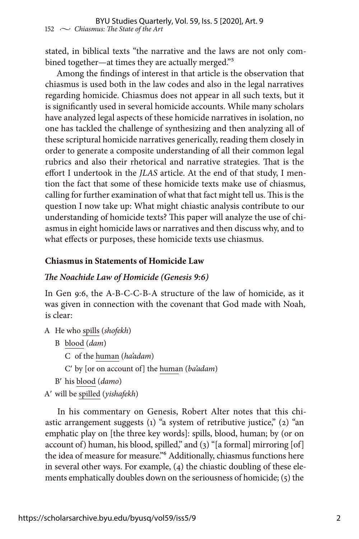stated, in biblical texts "the narrative and the laws are not only combined together—at times they are actually merged."5

Among the findings of interest in that article is the observation that chiasmus is used both in the law codes and also in the legal narratives regarding homicide. Chiasmus does not appear in all such texts, but it is significantly used in several homicide accounts. While many scholars have analyzed legal aspects of these homicide narratives in isolation, no one has tackled the challenge of synthesizing and then analyzing all of these scriptural homicide narratives generically, reading them closely in order to generate a composite understanding of all their common legal rubrics and also their rhetorical and narrative strategies. That is the effort I undertook in the *JLAS* article. At the end of that study, I mention the fact that some of these homicide texts make use of chiasmus, calling for further examination of what that fact might tell us. This is the question I now take up: What might chiastic analysis contribute to our understanding of homicide texts? This paper will analyze the use of chiasmus in eight homicide laws or narratives and then discuss why, and to what effects or purposes, these homicide texts use chiasmus.

## **Chiasmus in Statements of Homicide Law**

## *The Noachide Law of Homicide (Genesis 9:6)*

In Gen 9:6, the A-B-C-C-B-A structure of the law of homicide, as it was given in connection with the covenant that God made with Noah, is clear:

- A He who spills (*shofekh*)
	- B blood (*dam*)

C of the human (*ha'adam*)

C′ by [or on account of] the human (*ba'adam*)

- B′ his blood (*damo*)
- A′ will be spilled (*yishafekh*)

In his commentary on Genesis, Robert Alter notes that this chiastic arrangement suggests (1) "a system of retributive justice," (2) "an emphatic play on [the three key words]: spills, blood, human; by (or on account of) human, his blood, spilled," and (3) "[a formal] mirroring [of] the idea of measure for measure."6 Additionally, chiasmus functions here in several other ways. For example, (4) the chiastic doubling of these elements emphatically doubles down on the seriousness of homicide; (5) the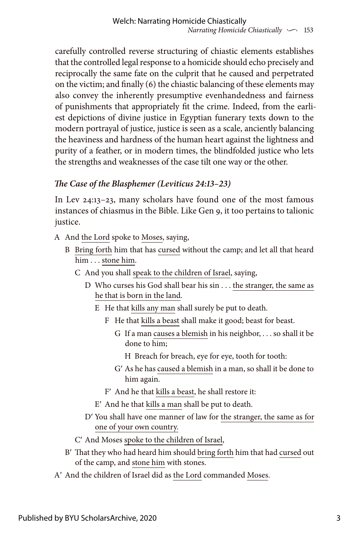carefully controlled reverse structuring of chiastic elements establishes that the controlled legal response to a homicide should echo precisely and reciprocally the same fate on the culprit that he caused and perpetrated on the victim; and finally (6) the chiastic balancing of these elements may also convey the inherently presumptive evenhandedness and fairness of punishments that appropriately fit the crime. Indeed, from the earliest depictions of divine justice in Egyptian funerary texts down to the modern portrayal of justice, justice is seen as a scale, anciently balancing the heaviness and hardness of the human heart against the lightness and purity of a feather, or in modern times, the blindfolded justice who lets the strengths and weaknesses of the case tilt one way or the other.

## *The Case of the Blasphemer (Leviticus 24:13–23)*

In Lev 24:13–23, many scholars have found one of the most famous instances of chiasmus in the Bible. Like Gen 9, it too pertains to talionic justice.

- A And the Lord spoke to Moses, saying,
	- B Bring forth him that has cursed without the camp; and let all that heard him . . . stone him.
		- C And you shall speak to the children of Israel, saying,
			- D Who curses his God shall bear his sin . . . the stranger, the same as he that is born in the land.
				- E He that kills any man shall surely be put to death.
					- F He that kills a beast shall make it good; beast for beast.
						- G If a man causes a blemish in his neighbor, . . . so shall it be done to him;
							- H Breach for breach, eye for eye, tooth for tooth:
						- G′ As he has caused a blemish in a man, so shall it be done to him again.
					- F′ And he that kills a beast, he shall restore it:
				- E′ And he that kills a man shall be put to death.
			- D′ You shall have one manner of law for the stranger, the same as for one of your own country.
		- C′ And Moses spoke to the children of Israel,
	- B′ That they who had heard him should bring forth him that had cursed out of the camp, and stone him with stones.
- A′ And the children of Israel did as the Lord commanded Moses.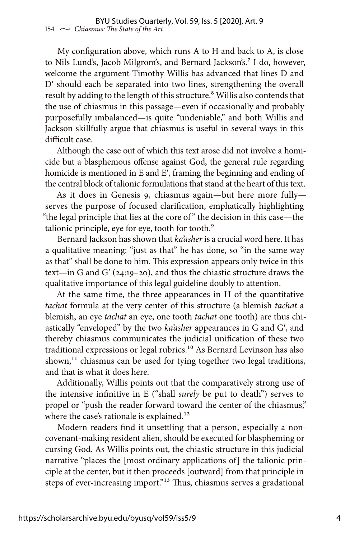My configuration above, which runs A to H and back to A, is close to Nils Lund's, Jacob Milgrom's, and Bernard Jackson's.<sup>7</sup> I do, however, welcome the argument Timothy Willis has advanced that lines D and D′ should each be separated into two lines, strengthening the overall result by adding to the length of this structure.<sup>8</sup> Willis also contends that the use of chiasmus in this passage—even if occasionally and probably purposefully imbalanced—is quite "undeniable," and both Willis and Jackson skillfully argue that chiasmus is useful in several ways in this difficult case.

Although the case out of which this text arose did not involve a homicide but a blasphemous offense against God, the general rule regarding homicide is mentioned in E and E′, framing the beginning and ending of the central block of talionic formulations that stand at the heart of this text.

As it does in Genesis 9, chiasmus again—but here more fully serves the purpose of focused clarification, emphatically highlighting "the legal principle that lies at the core of " the decision in this case—the talionic principle, eye for eye, tooth for tooth.<sup>9</sup>

Bernard Jackson has shown that *ka'asher* is a crucial word here. It has a qualitative meaning: "just as that" he has done, so "in the same way as that" shall be done to him. This expression appears only twice in this text—in G and G′ (24:19–20), and thus the chiastic structure draws the qualitative importance of this legal guideline doubly to attention.

At the same time, the three appearances in H of the quantitative *tachat* formula at the very center of this structure (a blemish *tachat* a blemish, an eye *tachat* an eye, one tooth *tachat* one tooth) are thus chiastically "enveloped" by the two *ka'asher* appearances in G and G′, and thereby chiasmus communicates the judicial unification of these two traditional expressions or legal rubrics.<sup>10</sup> As Bernard Levinson has also shown,<sup>11</sup> chiasmus can be used for tying together two legal traditions, and that is what it does here.

Additionally, Willis points out that the comparatively strong use of the intensive infinitive in E ("shall *surely* be put to death") serves to propel or "push the reader forward toward the center of the chiasmus," where the case's rationale is explained.<sup>12</sup>

Modern readers find it unsettling that a person, especially a noncovenant-making resident alien, should be executed for blaspheming or cursing God. As Willis points out, the chiastic structure in this judicial narrative "places the [most ordinary applications of] the talionic principle at the center, but it then proceeds [outward] from that principle in steps of ever-increasing import."13 Thus, chiasmus serves a gradational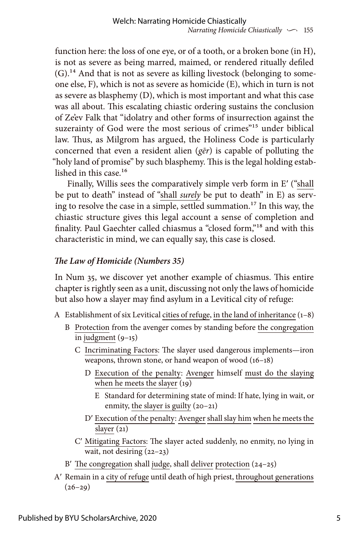function here: the loss of one eye, or of a tooth, or a broken bone (in H), is not as severe as being marred, maimed, or rendered ritually defiled (G).14 And that is not as severe as killing livestock (belonging to someone else, F), which is not as severe as homicide (E), which in turn is not as severe as blasphemy (D), which is most important and what this case was all about. This escalating chiastic ordering sustains the conclusion of Ze'ev Falk that "idolatry and other forms of insurrection against the suzerainty of God were the most serious of crimes"<sup>15</sup> under biblical law. Thus, as Milgrom has argued, the Holiness Code is particularly concerned that even a resident alien (*gēr*) is capable of polluting the "holy land of promise" by such blasphemy. This is the legal holding established in this case.<sup>16</sup>

Finally, Willis sees the comparatively simple verb form in E′ ("shall be put to death" instead of "shall *surely* be put to death" in E) as serving to resolve the case in a simple, settled summation.<sup>17</sup> In this way, the chiastic structure gives this legal account a sense of completion and finality. Paul Gaechter called chiasmus a "closed form,"18 and with this characteristic in mind, we can equally say, this case is closed.

## *The Law of Homicide (Numbers 35)*

In Num 35, we discover yet another example of chiasmus. This entire chapter is rightly seen as a unit, discussing not only the laws of homicide but also how a slayer may find asylum in a Levitical city of refuge:

- A Establishment of six Levitical cities of refuge, in the land of inheritance  $(1-8)$ 
	- B Protection from the avenger comes by standing before the congregation in judgment (9–15)
		- C Incriminating Factors: The slayer used dangerous implements—iron weapons, thrown stone, or hand weapon of wood (16–18)
			- D Execution of the penalty: Avenger himself must do the slaying when he meets the slayer (19)
				- E Standard for determining state of mind: If hate, lying in wait, or enmity, the slayer is guilty (20–21)
			- D' Execution of the penalty: Avenger shall slay him when he meets the slayer (21)
		- C′ Mitigating Factors: The slayer acted suddenly, no enmity, no lying in wait, not desiring (22–23)
	- B′ The congregation shall judge, shall deliver protection (24–25)
- A′ Remain in a city of refuge until death of high priest, throughout generations  $(26-29)$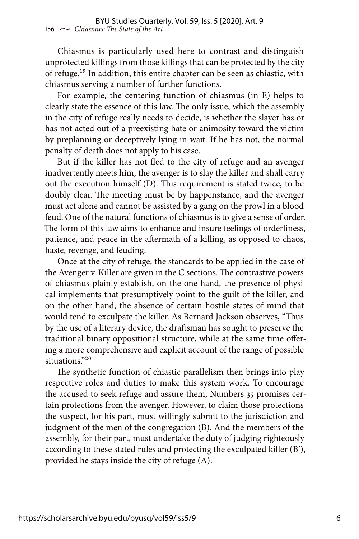Chiasmus is particularly used here to contrast and distinguish unprotected killings from those killings that can be protected by the city of refuge.<sup>19</sup> In addition, this entire chapter can be seen as chiastic, with chiasmus serving a number of further functions.

For example, the centering function of chiasmus (in E) helps to clearly state the essence of this law. The only issue, which the assembly in the city of refuge really needs to decide, is whether the slayer has or has not acted out of a preexisting hate or animosity toward the victim by preplanning or deceptively lying in wait. If he has not, the normal penalty of death does not apply to his case.

But if the killer has not fled to the city of refuge and an avenger inadvertently meets him, the avenger is to slay the killer and shall carry out the execution himself (D). This requirement is stated twice, to be doubly clear. The meeting must be by happenstance, and the avenger must act alone and cannot be assisted by a gang on the prowl in a blood feud. One of the natural functions of chiasmus is to give a sense of order. The form of this law aims to enhance and insure feelings of orderliness, patience, and peace in the aftermath of a killing, as opposed to chaos, haste, revenge, and feuding.

Once at the city of refuge, the standards to be applied in the case of the Avenger v. Killer are given in the C sections. The contrastive powers of chiasmus plainly establish, on the one hand, the presence of physical implements that presumptively point to the guilt of the killer, and on the other hand, the absence of certain hostile states of mind that would tend to exculpate the killer. As Bernard Jackson observes, "Thus by the use of a literary device, the draftsman has sought to preserve the traditional binary oppositional structure, while at the same time offering a more comprehensive and explicit account of the range of possible situations."20

The synthetic function of chiastic parallelism then brings into play respective roles and duties to make this system work. To encourage the accused to seek refuge and assure them, Numbers 35 promises certain protections from the avenger. However, to claim those protections the suspect, for his part, must willingly submit to the jurisdiction and judgment of the men of the congregation (B). And the members of the assembly, for their part, must undertake the duty of judging righteously according to these stated rules and protecting the exculpated killer (B′), provided he stays inside the city of refuge (A).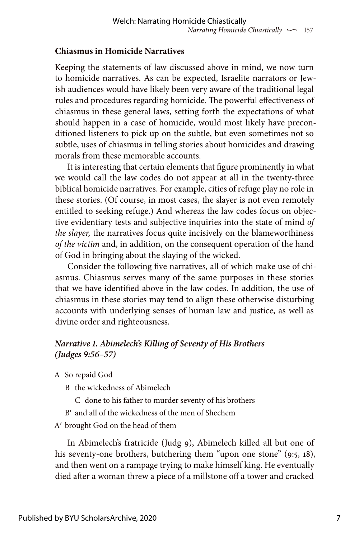## **Chiasmus in Homicide Narratives**

Keeping the statements of law discussed above in mind, we now turn to homicide narratives. As can be expected, Israelite narrators or Jewish audiences would have likely been very aware of the traditional legal rules and procedures regarding homicide. The powerful effectiveness of chiasmus in these general laws, setting forth the expectations of what should happen in a case of homicide, would most likely have preconditioned listeners to pick up on the subtle, but even sometimes not so subtle, uses of chiasmus in telling stories about homicides and drawing morals from these memorable accounts.

It is interesting that certain elements that figure prominently in what we would call the law codes do not appear at all in the twenty-three biblical homicide narratives. For example, cities of refuge play no role in these stories. (Of course, in most cases, the slayer is not even remotely entitled to seeking refuge.) And whereas the law codes focus on objective evidentiary tests and subjective inquiries into the state of mind *of the slayer,* the narratives focus quite incisively on the blameworthiness *of the victim* and, in addition, on the consequent operation of the hand of God in bringing about the slaying of the wicked.

Consider the following five narratives, all of which make use of chiasmus. Chiasmus serves many of the same purposes in these stories that we have identified above in the law codes. In addition, the use of chiasmus in these stories may tend to align these otherwise disturbing accounts with underlying senses of human law and justice, as well as divine order and righteousness.

## *Narrative 1. Abimelech's Killing of Seventy of His Brothers (Judges 9:56–57)*

- A So repaid God
	- B the wickedness of Abimelech
		- C done to his father to murder seventy of his brothers
	- B′ and all of the wickedness of the men of Shechem
- A′ brought God on the head of them

In Abimelech's fratricide (Judg 9), Abimelech killed all but one of his seventy-one brothers, butchering them "upon one stone" (9:5, 18), and then went on a rampage trying to make himself king. He eventually died after a woman threw a piece of a millstone off a tower and cracked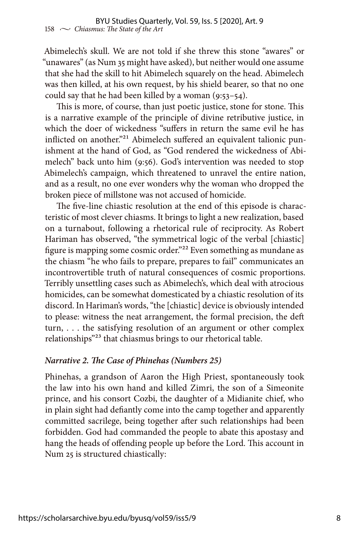Abimelech's skull. We are not told if she threw this stone "awares" or "unawares" (as Num 35 might have asked), but neither would one assume that she had the skill to hit Abimelech squarely on the head. Abimelech was then killed, at his own request, by his shield bearer, so that no one could say that he had been killed by a woman (9:53–54).

This is more, of course, than just poetic justice, stone for stone. This is a narrative example of the principle of divine retributive justice, in which the doer of wickedness "suffers in return the same evil he has inflicted on another."<sup>21</sup> Abimelech suffered an equivalent talionic punishment at the hand of God, as "God rendered the wickedness of Abimelech" back unto him (9:56). God's intervention was needed to stop Abimelech's campaign, which threatened to unravel the entire nation, and as a result, no one ever wonders why the woman who dropped the broken piece of millstone was not accused of homicide.

The five-line chiastic resolution at the end of this episode is characteristic of most clever chiasms. It brings to light a new realization, based on a turnabout, following a rhetorical rule of reciprocity. As Robert Hariman has observed, "the symmetrical logic of the verbal [chiastic] figure is mapping some cosmic order."22 Even something as mundane as the chiasm "he who fails to prepare, prepares to fail" communicates an incontrovertible truth of natural consequences of cosmic proportions. Terribly unsettling cases such as Abimelech's, which deal with atrocious homicides, can be somewhat domesticated by a chiastic resolution of its discord. In Hariman's words, "the [chiastic] device is obviously intended to please: witness the neat arrangement, the formal precision, the deft turn, . . . the satisfying resolution of an argument or other complex relationships"23 that chiasmus brings to our rhetorical table.

## *Narrative 2. The Case of Phinehas (Numbers 25)*

Phinehas, a grandson of Aaron the High Priest, spontaneously took the law into his own hand and killed Zimri, the son of a Simeonite prince, and his consort Cozbi, the daughter of a Midianite chief, who in plain sight had defiantly come into the camp together and apparently committed sacrilege, being together after such relationships had been forbidden. God had commanded the people to abate this apostasy and hang the heads of offending people up before the Lord. This account in Num 25 is structured chiastically: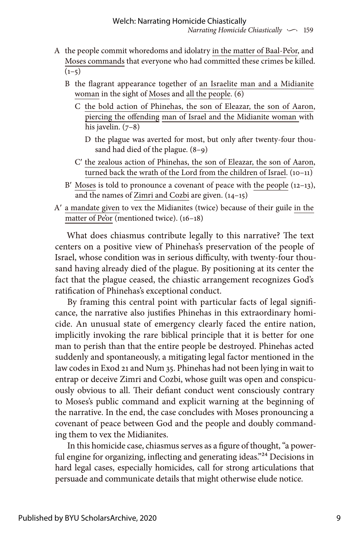- A the people commit whoredoms and idolatry in the matter of Baal-Pe'or, and Moses commands that everyone who had committed these crimes be killed.  $(1-5)$ 
	- B the flagrant appearance together of an Israelite man and a Midianite woman in the sight of Moses and all the people. (6)
		- C the bold action of Phinehas, the son of Eleazar, the son of Aaron, piercing the offending man of Israel and the Midianite woman with his javelin.  $(7-8)$ 
			- D the plague was averted for most, but only after twenty-four thousand had died of the plague. (8–9)
		- C′ the zealous action of Phinehas, the son of Eleazar, the son of Aaron, turned back the wrath of the Lord from the children of Israel.  $(10-11)$
	- B' Moses is told to pronounce a covenant of peace with the people (12-13), and the names of Zimri and Cozbi are given. (14–15)
- A′ a mandate given to vex the Midianites (twice) because of their guile in the matter of Pe'or (mentioned twice). (16–18)

What does chiasmus contribute legally to this narrative? The text centers on a positive view of Phinehas's preservation of the people of Israel, whose condition was in serious difficulty, with twenty-four thousand having already died of the plague. By positioning at its center the fact that the plague ceased, the chiastic arrangement recognizes God's ratification of Phinehas's exceptional conduct.

By framing this central point with particular facts of legal significance, the narrative also justifies Phinehas in this extraordinary homicide. An unusual state of emergency clearly faced the entire nation, implicitly invoking the rare biblical principle that it is better for one man to perish than that the entire people be destroyed. Phinehas acted suddenly and spontaneously, a mitigating legal factor mentioned in the law codes in Exod 21 and Num 35. Phinehas had not been lying in wait to entrap or deceive Zimri and Cozbi, whose guilt was open and conspicuously obvious to all. Their defiant conduct went consciously contrary to Moses's public command and explicit warning at the beginning of the narrative. In the end, the case concludes with Moses pronouncing a covenant of peace between God and the people and doubly commanding them to vex the Midianites.

In this homicide case, chiasmus serves as a figure of thought, "a powerful engine for organizing, inflecting and generating ideas."<sup>24</sup> Decisions in hard legal cases, especially homicides, call for strong articulations that persuade and communicate details that might otherwise elude notice.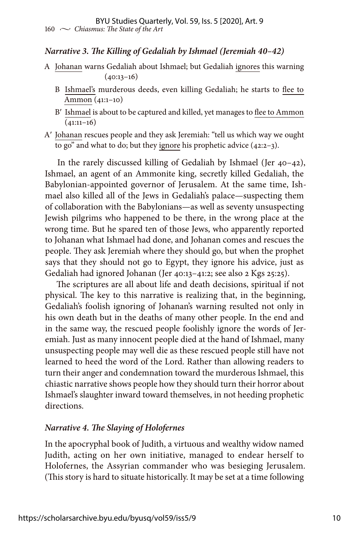#### *Narrative 3. The Killing of Gedaliah by Ishmael (Jeremiah 40–42)*

- A Johanan warns Gedaliah about Ishmael; but Gedaliah ignores this warning  $(40:13-16)$ 
	- B Ishmael's murderous deeds, even killing Gedaliah; he starts to flee to Ammon (41:1–10)
	- B′ Ishmael is about to be captured and killed, yet manages to flee to Ammon  $(41:11-16)$
- A′ Johanan rescues people and they ask Jeremiah: "tell us which way we ought to go" and what to do; but they ignore his prophetic advice (42:2–3).

In the rarely discussed killing of Gedaliah by Ishmael (Jer 40–42), Ishmael, an agent of an Ammonite king, secretly killed Gedaliah, the Babylonian-appointed governor of Jerusalem. At the same time, Ishmael also killed all of the Jews in Gedaliah's palace—suspecting them of collaboration with the Babylonians—as well as seventy unsuspecting Jewish pilgrims who happened to be there, in the wrong place at the wrong time. But he spared ten of those Jews, who apparently reported to Johanan what Ishmael had done, and Johanan comes and rescues the people. They ask Jeremiah where they should go, but when the prophet says that they should not go to Egypt, they ignore his advice, just as Gedaliah had ignored Johanan (Jer 40:13–41:2; see also 2 Kgs 25:25).

The scriptures are all about life and death decisions, spiritual if not physical. The key to this narrative is realizing that, in the beginning, Gedaliah's foolish ignoring of Johanan's warning resulted not only in his own death but in the deaths of many other people. In the end and in the same way, the rescued people foolishly ignore the words of Jeremiah. Just as many innocent people died at the hand of Ishmael, many unsuspecting people may well die as these rescued people still have not learned to heed the word of the Lord. Rather than allowing readers to turn their anger and condemnation toward the murderous Ishmael, this chiastic narrative shows people how they should turn their horror about Ishmael's slaughter inward toward themselves, in not heeding prophetic directions.

## *Narrative 4. The Slaying of Holofernes*

In the apocryphal book of Judith, a virtuous and wealthy widow named Judith, acting on her own initiative, managed to endear herself to Holofernes, the Assyrian commander who was besieging Jerusalem. (This story is hard to situate historically. It may be set at a time following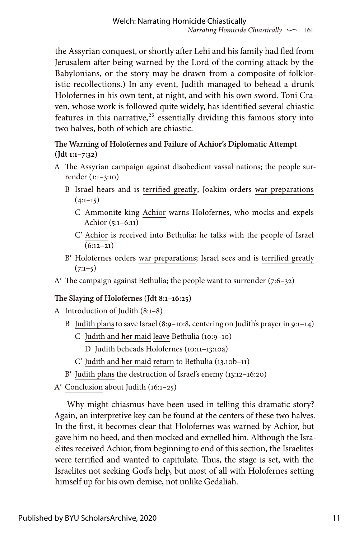the Assyrian conquest, or shortly after Lehi and his family had fled from Jerusalem after being warned by the Lord of the coming attack by the Babylonians, or the story may be drawn from a composite of folkloristic recollections.) In any event, Judith managed to behead a drunk Holofernes in his own tent, at night, and with his own sword. Toni Craven, whose work is followed quite widely, has identified several chiastic features in this narrative, $25$  essentially dividing this famous story into two halves, both of which are chiastic.

#### **The Warning of Holofernes and Failure of Achior's Diplomatic Attempt (Jdt 1:1–7:32)**

- A The Assyrian campaign against disobedient vassal nations; the people surrender (1:1–3:10)
	- B Israel hears and is terrified greatly; Joakim orders war preparations  $(4:1-15)$ 
		- C Ammonite king Achior warns Holofernes, who mocks and expels Achior (5:1–6:11)
		- C′ Achior is received into Bethulia; he talks with the people of Israel  $(6:12-21)$
	- B′ Holofernes orders war preparations; Israel sees and is terrified greatly  $(7:1-5)$
- A′ The campaign against Bethulia; the people want to surrender (7:6–32)

## **The Slaying of Holofernes (Jdt 8:1–16:25)**

- A Introduction of Judith (8:1–8)
	- B Judith plans to save Israel (8:9–10:8, centering on Judith's prayer in 9:1–14)
		- C Judith and her maid leave Bethulia (10:9–10)

D Judith beheads Holofernes (10:11–13:10a)

- C′ Judith and her maid return to Bethulia (13.10b–11)
- B′ Judith plans the destruction of Israel's enemy (13:12–16:20)
- A′ Conclusion about Judith (16:1–25)

Why might chiasmus have been used in telling this dramatic story? Again, an interpretive key can be found at the centers of these two halves. In the first, it becomes clear that Holofernes was warned by Achior, but gave him no heed, and then mocked and expelled him. Although the Israelites received Achior, from beginning to end of this section, the Israelites were terrified and wanted to capitulate. Thus, the stage is set, with the Israelites not seeking God's help, but most of all with Holofernes setting himself up for his own demise, not unlike Gedaliah.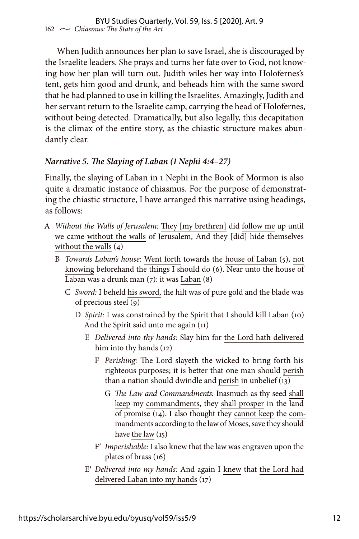When Judith announces her plan to save Israel, she is discouraged by the Israelite leaders. She prays and turns her fate over to God, not knowing how her plan will turn out. Judith wiles her way into Holofernes's tent, gets him good and drunk, and beheads him with the same sword that he had planned to use in killing the Israelites. Amazingly, Judith and her servant return to the Israelite camp, carrying the head of Holofernes, without being detected. Dramatically, but also legally, this decapitation is the climax of the entire story, as the chiastic structure makes abundantly clear.

## *Narrative 5. The Slaying of Laban (1 Nephi 4:4–27)*

Finally, the slaying of Laban in 1 Nephi in the Book of Mormon is also quite a dramatic instance of chiasmus. For the purpose of demonstrating the chiastic structure, I have arranged this narrative using headings, as follows:

- A *Without the Walls of Jerusalem:* They [my brethren] did follow me up until we came without the walls of Jerusalem, And they [did] hide themselves without the walls (4)
	- B *Towards Laban's house:* Went forth towards the house of Laban (5), not knowing beforehand the things I should do (6). Near unto the house of Laban was a drunk man (7): it was Laban (8)
		- C *Sword:* I beheld his sword, the hilt was of pure gold and the blade was of precious steel (9)
			- D *Spirit:* I was constrained by the Spirit that I should kill Laban (10) And the Spirit said unto me again (11)
				- E *Delivered into thy hands:* Slay him for the Lord hath delivered him into thy hands (12)
					- F *Perishing:* The Lord slayeth the wicked to bring forth his righteous purposes; it is better that one man should perish than a nation should dwindle and perish in unbelief (13)
						- G *The Law and Commandments:* Inasmuch as thy seed shall keep my commandments, they shall prosper in the land of promise (14). I also thought they cannot keep the commandments according to the law of Moses, save they should have the law (15)
					- F′ *Imperishable:* I also knew that the law was engraven upon the plates of brass (16)
				- E′ *Delivered into my hands:* And again I knew that the Lord had delivered Laban into my hands (17)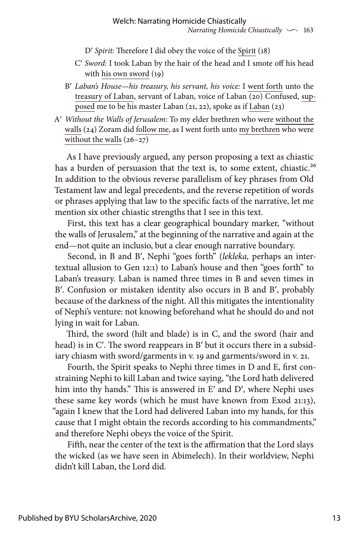D′ *Spirit:* Therefore I did obey the voice of the Spirit (18)

- C′ *Sword:* I took Laban by the hair of the head and I smote off his head with his own sword (19)
- B′ *Laban's House—his treasury, his servant, his voice:* I went forth unto the treasury of Laban, servant of Laban, voice of Laban (20) Confused, supposed me to be his master Laban (21, 22), spoke as if Laban (23)
- A′ *Without the Walls of Jerusalem:* To my elder brethren who were without the walls (24) Zoram did follow me, as I went forth unto my brethren who were without the walls  $(26-27)$

As I have previously argued, any person proposing a text as chiastic has a burden of persuasion that the text is, to some extent, chiastic.<sup>26</sup> In addition to the obvious reverse parallelism of key phrases from Old Testament law and legal precedents, and the reverse repetition of words or phrases applying that law to the specific facts of the narrative, let me mention six other chiastic strengths that I see in this text.

First, this text has a clear geographical boundary marker, "without the walls of Jerusalem," at the beginning of the narrative and again at the end—not quite an inclusio, but a clear enough narrative boundary.

Second, in B and B′, Nephi "goes forth" (*lekleka,* perhaps an intertextual allusion to Gen 12:1) to Laban's house and then "goes forth" to Laban's treasury. Laban is named three times in B and seven times in B′. Confusion or mistaken identity also occurs in B and B′, probably because of the darkness of the night. All this mitigates the intentionality of Nephi's venture: not knowing beforehand what he should do and not lying in wait for Laban.

Third, the sword (hilt and blade) is in C, and the sword (hair and head) is in C'. The sword reappears in B' but it occurs there in a subsidiary chiasm with sword/garments in v. 19 and garments/sword in v. 21.

Fourth, the Spirit speaks to Nephi three times in D and E, first constraining Nephi to kill Laban and twice saying, "the Lord hath delivered him into thy hands." This is answered in E' and D', where Nephi uses these same key words (which he must have known from Exod 21:13), "again I knew that the Lord had delivered Laban into my hands, for this cause that I might obtain the records according to his commandments," and therefore Nephi obeys the voice of the Spirit.

Fifth, near the center of the text is the affirmation that the Lord slays the wicked (as we have seen in Abimelech). In their worldview, Nephi didn't kill Laban, the Lord did.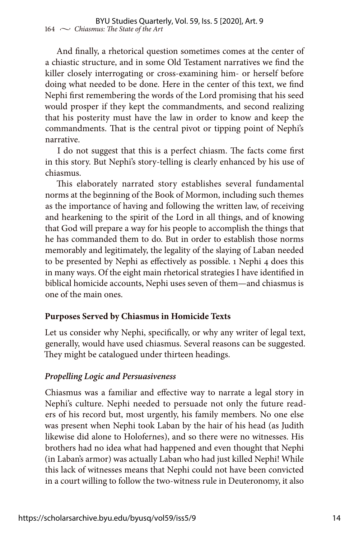And finally, a rhetorical question sometimes comes at the center of a chiastic structure, and in some Old Testament narratives we find the killer closely interrogating or cross-examining him- or herself before doing what needed to be done. Here in the center of this text, we find Nephi first remembering the words of the Lord promising that his seed would prosper if they kept the commandments, and second realizing that his posterity must have the law in order to know and keep the commandments. That is the central pivot or tipping point of Nephi's narrative.

I do not suggest that this is a perfect chiasm. The facts come first in this story. But Nephi's story-telling is clearly enhanced by his use of chiasmus.

This elaborately narrated story establishes several fundamental norms at the beginning of the Book of Mormon, including such themes as the importance of having and following the written law, of receiving and hearkening to the spirit of the Lord in all things, and of knowing that God will prepare a way for his people to accomplish the things that he has commanded them to do. But in order to establish those norms memorably and legitimately, the legality of the slaying of Laban needed to be presented by Nephi as effectively as possible. 1 Nephi 4 does this in many ways. Of the eight main rhetorical strategies I have identified in biblical homicide accounts, Nephi uses seven of them—and chiasmus is one of the main ones.

## **Purposes Served by Chiasmus in Homicide Texts**

Let us consider why Nephi, specifically, or why any writer of legal text, generally, would have used chiasmus. Several reasons can be suggested. They might be catalogued under thirteen headings.

#### *Propelling Logic and Persuasiveness*

Chiasmus was a familiar and effective way to narrate a legal story in Nephi's culture. Nephi needed to persuade not only the future readers of his record but, most urgently, his family members. No one else was present when Nephi took Laban by the hair of his head (as Judith likewise did alone to Holofernes), and so there were no witnesses. His brothers had no idea what had happened and even thought that Nephi (in Laban's armor) was actually Laban who had just killed Nephi! While this lack of witnesses means that Nephi could not have been convicted in a court willing to follow the two-witness rule in Deuteronomy, it also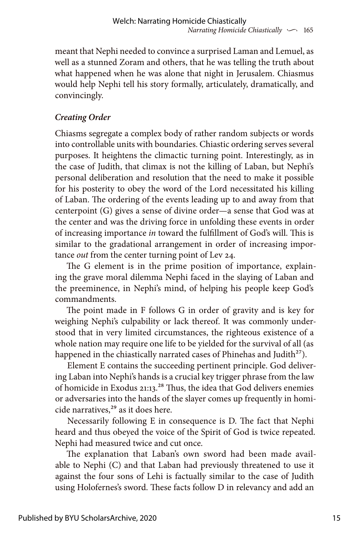meant that Nephi needed to convince a surprised Laman and Lemuel, as well as a stunned Zoram and others, that he was telling the truth about what happened when he was alone that night in Jerusalem. Chiasmus would help Nephi tell his story formally, articulately, dramatically, and convincingly.

## *Creating Order*

Chiasms segregate a complex body of rather random subjects or words into controllable units with boundaries. Chiastic ordering serves several purposes. It heightens the climactic turning point. Interestingly, as in the case of Judith, that climax is not the killing of Laban, but Nephi's personal deliberation and resolution that the need to make it possible for his posterity to obey the word of the Lord necessitated his killing of Laban. The ordering of the events leading up to and away from that centerpoint (G) gives a sense of divine order—a sense that God was at the center and was the driving force in unfolding these events in order of increasing importance *in* toward the fulfillment of God's will. This is similar to the gradational arrangement in order of increasing importance *out* from the center turning point of Lev 24.

The G element is in the prime position of importance, explaining the grave moral dilemma Nephi faced in the slaying of Laban and the preeminence, in Nephi's mind, of helping his people keep God's commandments.

The point made in F follows G in order of gravity and is key for weighing Nephi's culpability or lack thereof. It was commonly understood that in very limited circumstances, the righteous existence of a whole nation may require one life to be yielded for the survival of all (as happened in the chiastically narrated cases of Phinehas and Judith<sup>27</sup>).

Element E contains the succeeding pertinent principle. God delivering Laban into Nephi's hands is a crucial key trigger phrase from the law of homicide in Exodus 21:13.<sup>28</sup> Thus, the idea that God delivers enemies or adversaries into the hands of the slayer comes up frequently in homicide narratives,<sup>29</sup> as it does here.

Necessarily following E in consequence is D. The fact that Nephi heard and thus obeyed the voice of the Spirit of God is twice repeated. Nephi had measured twice and cut once.

The explanation that Laban's own sword had been made available to Nephi (C) and that Laban had previously threatened to use it against the four sons of Lehi is factually similar to the case of Judith using Holofernes's sword. These facts follow D in relevancy and add an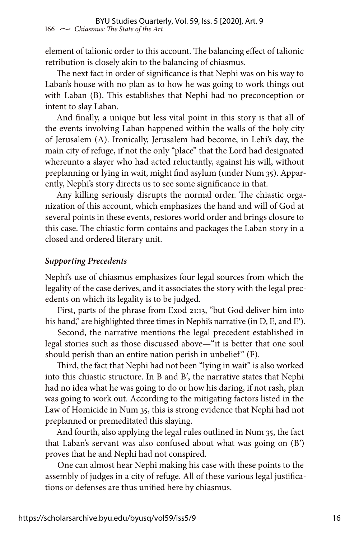element of talionic order to this account. The balancing effect of talionic retribution is closely akin to the balancing of chiasmus.

The next fact in order of significance is that Nephi was on his way to Laban's house with no plan as to how he was going to work things out with Laban (B). This establishes that Nephi had no preconception or intent to slay Laban.

And finally, a unique but less vital point in this story is that all of the events involving Laban happened within the walls of the holy city of Jerusalem (A). Ironically, Jerusalem had become, in Lehi's day, the main city of refuge, if not the only "place" that the Lord had designated whereunto a slayer who had acted reluctantly, against his will, without preplanning or lying in wait, might find asylum (under Num 35). Apparently, Nephi's story directs us to see some significance in that.

Any killing seriously disrupts the normal order. The chiastic organization of this account, which emphasizes the hand and will of God at several points in these events, restores world order and brings closure to this case. The chiastic form contains and packages the Laban story in a closed and ordered literary unit.

#### *Supporting Precedents*

Nephi's use of chiasmus emphasizes four legal sources from which the legality of the case derives, and it associates the story with the legal precedents on which its legality is to be judged.

First, parts of the phrase from Exod 21:13, "but God deliver him into his hand," are highlighted three times in Nephi's narrative (in D, E, and E').

Second, the narrative mentions the legal precedent established in legal stories such as those discussed above—"it is better that one soul should perish than an entire nation perish in unbelief" (F).

Third, the fact that Nephi had not been "lying in wait" is also worked into this chiastic structure. In B and B′, the narrative states that Nephi had no idea what he was going to do or how his daring, if not rash, plan was going to work out. According to the mitigating factors listed in the Law of Homicide in Num 35, this is strong evidence that Nephi had not preplanned or premeditated this slaying.

And fourth, also applying the legal rules outlined in Num 35, the fact that Laban's servant was also confused about what was going on (B′) proves that he and Nephi had not conspired.

One can almost hear Nephi making his case with these points to the assembly of judges in a city of refuge. All of these various legal justifications or defenses are thus unified here by chiasmus.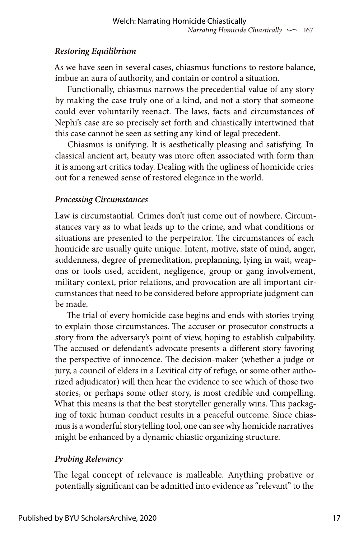## *Restoring Equilibrium*

As we have seen in several cases, chiasmus functions to restore balance, imbue an aura of authority, and contain or control a situation.

Functionally, chiasmus narrows the precedential value of any story by making the case truly one of a kind, and not a story that someone could ever voluntarily reenact. The laws, facts and circumstances of Nephi's case are so precisely set forth and chiastically intertwined that this case cannot be seen as setting any kind of legal precedent.

Chiasmus is unifying. It is aesthetically pleasing and satisfying. In classical ancient art, beauty was more often associated with form than it is among art critics today. Dealing with the ugliness of homicide cries out for a renewed sense of restored elegance in the world.

## *Processing Circumstances*

Law is circumstantial. Crimes don't just come out of nowhere. Circumstances vary as to what leads up to the crime, and what conditions or situations are presented to the perpetrator. The circumstances of each homicide are usually quite unique. Intent, motive, state of mind, anger, suddenness, degree of premeditation, preplanning, lying in wait, weapons or tools used, accident, negligence, group or gang involvement, military context, prior relations, and provocation are all important circumstances that need to be considered before appropriate judgment can be made.

The trial of every homicide case begins and ends with stories trying to explain those circumstances. The accuser or prosecutor constructs a story from the adversary's point of view, hoping to establish culpability. The accused or defendant's advocate presents a different story favoring the perspective of innocence. The decision-maker (whether a judge or jury, a council of elders in a Levitical city of refuge, or some other authorized adjudicator) will then hear the evidence to see which of those two stories, or perhaps some other story, is most credible and compelling. What this means is that the best storyteller generally wins. This packaging of toxic human conduct results in a peaceful outcome. Since chiasmus is a wonderful storytelling tool, one can see why homicide narratives might be enhanced by a dynamic chiastic organizing structure.

## *Probing Relevancy*

The legal concept of relevance is malleable. Anything probative or potentially significant can be admitted into evidence as "relevant" to the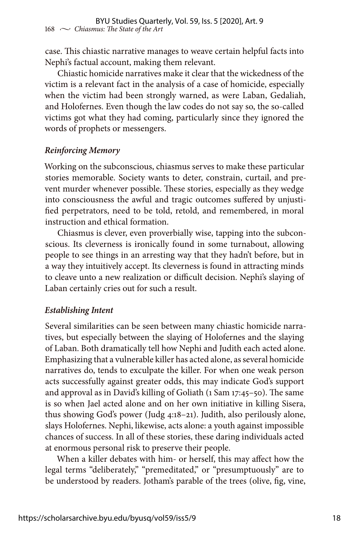case. This chiastic narrative manages to weave certain helpful facts into Nephi's factual account, making them relevant.

Chiastic homicide narratives make it clear that the wickedness of the victim is a relevant fact in the analysis of a case of homicide, especially when the victim had been strongly warned, as were Laban, Gedaliah, and Holofernes. Even though the law codes do not say so, the so-called victims got what they had coming, particularly since they ignored the words of prophets or messengers.

#### *Reinforcing Memory*

Working on the subconscious, chiasmus serves to make these particular stories memorable. Society wants to deter, constrain, curtail, and prevent murder whenever possible. These stories, especially as they wedge into consciousness the awful and tragic outcomes suffered by unjustified perpetrators, need to be told, retold, and remembered, in moral instruction and ethical formation.

Chiasmus is clever, even proverbially wise, tapping into the subconscious. Its cleverness is ironically found in some turnabout, allowing people to see things in an arresting way that they hadn't before, but in a way they intuitively accept. Its cleverness is found in attracting minds to cleave unto a new realization or difficult decision. Nephi's slaying of Laban certainly cries out for such a result.

#### *Establishing Intent*

Several similarities can be seen between many chiastic homicide narratives, but especially between the slaying of Holofernes and the slaying of Laban. Both dramatically tell how Nephi and Judith each acted alone. Emphasizing that a vulnerable killer has acted alone, as several homicide narratives do, tends to exculpate the killer. For when one weak person acts successfully against greater odds, this may indicate God's support and approval as in David's killing of Goliath (1 Sam 17:45–50). The same is so when Jael acted alone and on her own initiative in killing Sisera, thus showing God's power (Judg 4:18–21). Judith, also perilously alone, slays Holofernes. Nephi, likewise, acts alone: a youth against impossible chances of success. In all of these stories, these daring individuals acted at enormous personal risk to preserve their people.

When a killer debates with him- or herself, this may affect how the legal terms "deliberately," "premeditated," or "presumptuously" are to be understood by readers. Jotham's parable of the trees (olive, fig, vine,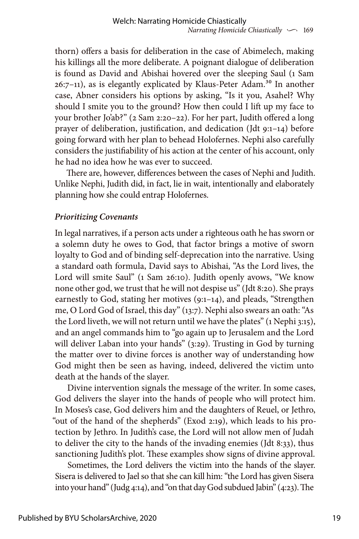thorn) offers a basis for deliberation in the case of Abimelech, making his killings all the more deliberate. A poignant dialogue of deliberation is found as David and Abishai hovered over the sleeping Saul (1 Sam 26:7-11), as is elegantly explicated by Klaus-Peter Adam.<sup>30</sup> In another case, Abner considers his options by asking, "Is it you, Asahel? Why should I smite you to the ground? How then could I lift up my face to your brother Jo'ab?" (2 Sam 2:20–22). For her part, Judith offered a long prayer of deliberation, justification, and dedication (Jdt 9:1–14) before going forward with her plan to behead Holofernes. Nephi also carefully considers the justifiability of his action at the center of his account, only he had no idea how he was ever to succeed.

There are, however, differences between the cases of Nephi and Judith. Unlike Nephi, Judith did, in fact, lie in wait, intentionally and elaborately planning how she could entrap Holofernes.

#### *Prioritizing Covenants*

In legal narratives, if a person acts under a righteous oath he has sworn or a solemn duty he owes to God, that factor brings a motive of sworn loyalty to God and of binding self-deprecation into the narrative. Using a standard oath formula, David says to Abishai, "As the Lord lives, the Lord will smite Saul" (1 Sam 26:10). Judith openly avows, "We know none other god, we trust that he will not despise us" (Jdt 8:20). She prays earnestly to God, stating her motives (9:1–14), and pleads, "Strengthen me, O Lord God of Israel, this day" (13:7). Nephi also swears an oath: "As the Lord liveth, we will not return until we have the plates" (1 Nephi 3:15), and an angel commands him to "go again up to Jerusalem and the Lord will deliver Laban into your hands" (3:29). Trusting in God by turning the matter over to divine forces is another way of understanding how God might then be seen as having, indeed, delivered the victim unto death at the hands of the slayer.

Divine intervention signals the message of the writer. In some cases, God delivers the slayer into the hands of people who will protect him. In Moses's case, God delivers him and the daughters of Reuel, or Jethro, "out of the hand of the shepherds" (Exod 2:19), which leads to his protection by Jethro. In Judith's case, the Lord will not allow men of Judah to deliver the city to the hands of the invading enemies (Jdt 8:33), thus sanctioning Judith's plot. These examples show signs of divine approval.

Sometimes, the Lord delivers the victim into the hands of the slayer. Sisera is delivered to Jael so that she can kill him: "the Lord has given Sisera into your hand" (Judg 4:14), and "on that day God subdued Jabin" (4:23). The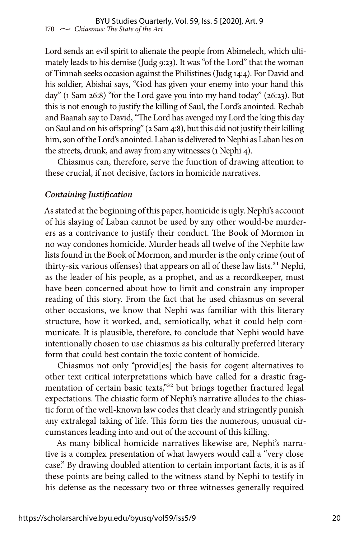Lord sends an evil spirit to alienate the people from Abimelech, which ultimately leads to his demise (Judg 9:23). It was "of the Lord" that the woman of Timnah seeks occasion against the Philistines (Judg 14:4). For David and his soldier, Abishai says, "God has given your enemy into your hand this day" (1 Sam 26:8) "for the Lord gave you into my hand today" (26:23). But this is not enough to justify the killing of Saul, the Lord's anointed. Rechab and Baanah say to David, "The Lord has avenged my Lord the king this day on Saul and on his offspring" (2 Sam 4:8), but this did not justify their killing him, son of the Lord's anointed. Laban is delivered to Nephi as Laban lies on the streets, drunk, and away from any witnesses (1 Nephi 4).

Chiasmus can, therefore, serve the function of drawing attention to these crucial, if not decisive, factors in homicide narratives.

#### *Containing Justification*

As stated at the beginning of this paper, homicide is ugly. Nephi's account of his slaying of Laban cannot be used by any other would-be murderers as a contrivance to justify their conduct. The Book of Mormon in no way condones homicide. Murder heads all twelve of the Nephite law lists found in the Book of Mormon, and murder is the only crime (out of thirty-six various offenses) that appears on all of these law lists.<sup>31</sup> Nephi, as the leader of his people, as a prophet, and as a recordkeeper, must have been concerned about how to limit and constrain any improper reading of this story. From the fact that he used chiasmus on several other occasions, we know that Nephi was familiar with this literary structure, how it worked, and, semiotically, what it could help communicate. It is plausible, therefore, to conclude that Nephi would have intentionally chosen to use chiasmus as his culturally preferred literary form that could best contain the toxic content of homicide.

Chiasmus not only "provid[es] the basis for cogent alternatives to other text critical interpretations which have called for a drastic fragmentation of certain basic texts,"<sup>32</sup> but brings together fractured legal expectations. The chiastic form of Nephi's narrative alludes to the chiastic form of the well-known law codes that clearly and stringently punish any extralegal taking of life. This form ties the numerous, unusual circumstances leading into and out of the account of this killing.

As many biblical homicide narratives likewise are, Nephi's narrative is a complex presentation of what lawyers would call a "very close case." By drawing doubled attention to certain important facts, it is as if these points are being called to the witness stand by Nephi to testify in his defense as the necessary two or three witnesses generally required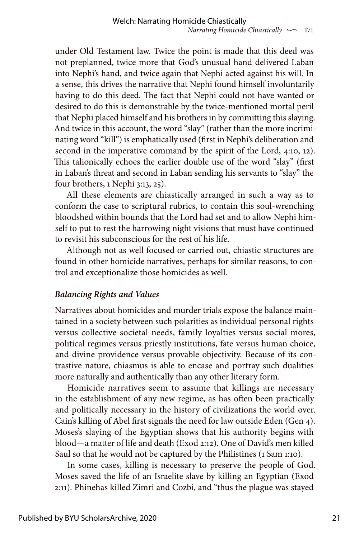under Old Testament law. Twice the point is made that this deed was not preplanned, twice more that God's unusual hand delivered Laban into Nephi's hand, and twice again that Nephi acted against his will. In a sense, this drives the narrative that Nephi found himself involuntarily having to do this deed. The fact that Nephi could not have wanted or desired to do this is demonstrable by the twice-mentioned mortal peril that Nephi placed himself and his brothers in by committing this slaying. And twice in this account, the word "slay" (rather than the more incriminating word "kill") is emphatically used (first in Nephi's deliberation and second in the imperative command by the spirit of the Lord, 4:10, 12). This talionically echoes the earlier double use of the word "slay" (first in Laban's threat and second in Laban sending his servants to "slay" the four brothers, 1 Nephi 3:13, 25).

All these elements are chiastically arranged in such a way as to conform the case to scriptural rubrics, to contain this soul-wrenching bloodshed within bounds that the Lord had set and to allow Nephi himself to put to rest the harrowing night visions that must have continued to revisit his subconscious for the rest of his life.

Although not as well focused or carried out, chiastic structures are found in other homicide narratives, perhaps for similar reasons, to control and exceptionalize those homicides as well.

## *Balancing Rights and Values*

Narratives about homicides and murder trials expose the balance maintained in a society between such polarities as individual personal rights versus collective societal needs, family loyalties versus social mores, political regimes versus priestly institutions, fate versus human choice, and divine providence versus provable objectivity. Because of its contrastive nature, chiasmus is able to encase and portray such dualities more naturally and authentically than any other literary form.

Homicide narratives seem to assume that killings are necessary in the establishment of any new regime, as has often been practically and politically necessary in the history of civilizations the world over. Cain's killing of Abel first signals the need for law outside Eden (Gen 4). Moses's slaying of the Egyptian shows that his authority begins with blood—a matter of life and death (Exod 2:12). One of David's men killed Saul so that he would not be captured by the Philistines (1 Sam 1:10).

In some cases, killing is necessary to preserve the people of God. Moses saved the life of an Israelite slave by killing an Egyptian (Exod 2:11). Phinehas killed Zimri and Cozbi, and "thus the plague was stayed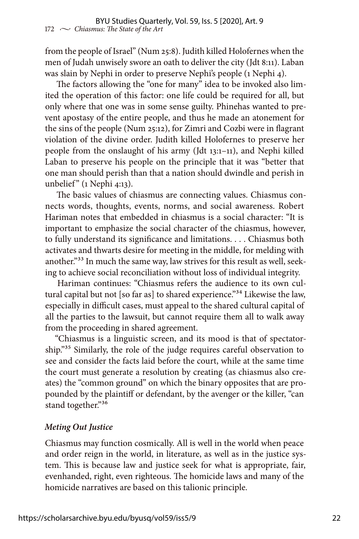from the people of Israel" (Num 25:8). Judith killed Holofernes when the men of Judah unwisely swore an oath to deliver the city (Jdt 8:11). Laban was slain by Nephi in order to preserve Nephi's people (1 Nephi 4).

The factors allowing the "one for many" idea to be invoked also limited the operation of this factor: one life could be required for all, but only where that one was in some sense guilty. Phinehas wanted to prevent apostasy of the entire people, and thus he made an atonement for the sins of the people (Num 25:12), for Zimri and Cozbi were in flagrant violation of the divine order. Judith killed Holofernes to preserve her people from the onslaught of his army (Jdt 13:1–11), and Nephi killed Laban to preserve his people on the principle that it was "better that one man should perish than that a nation should dwindle and perish in unbelief"  $(1$  Nephi 4:13).

The basic values of chiasmus are connecting values. Chiasmus connects words, thoughts, events, norms, and social awareness. Robert Hariman notes that embedded in chiasmus is a social character: "It is important to emphasize the social character of the chiasmus, however, to fully understand its significance and limitations. . . . Chiasmus both activates and thwarts desire for meeting in the middle, for melding with another."<sup>33</sup> In much the same way, law strives for this result as well, seeking to achieve social reconciliation without loss of individual integrity.

Hariman continues: "Chiasmus refers the audience to its own cultural capital but not [so far as] to shared experience."<sup>34</sup> Likewise the law, especially in difficult cases, must appeal to the shared cultural capital of all the parties to the lawsuit, but cannot require them all to walk away from the proceeding in shared agreement.

"Chiasmus is a linguistic screen, and its mood is that of spectatorship."35 Similarly, the role of the judge requires careful observation to see and consider the facts laid before the court, while at the same time the court must generate a resolution by creating (as chiasmus also creates) the "common ground" on which the binary opposites that are propounded by the plaintiff or defendant, by the avenger or the killer, "can stand together."36

#### *Meting Out Justice*

Chiasmus may function cosmically. All is well in the world when peace and order reign in the world, in literature, as well as in the justice system. This is because law and justice seek for what is appropriate, fair, evenhanded, right, even righteous. The homicide laws and many of the homicide narratives are based on this talionic principle.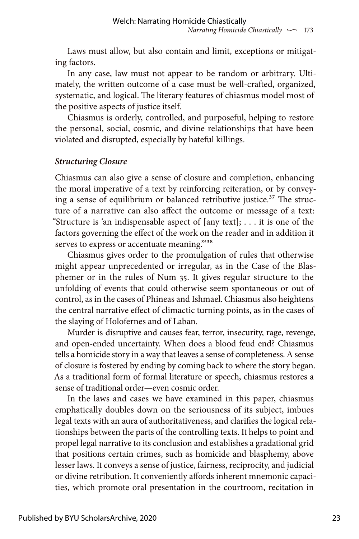Laws must allow, but also contain and limit, exceptions or mitigating factors.

In any case, law must not appear to be random or arbitrary. Ultimately, the written outcome of a case must be well-crafted, organized, systematic, and logical. The literary features of chiasmus model most of the positive aspects of justice itself.

Chiasmus is orderly, controlled, and purposeful, helping to restore the personal, social, cosmic, and divine relationships that have been violated and disrupted, especially by hateful killings.

#### *Structuring Closure*

Chiasmus can also give a sense of closure and completion, enhancing the moral imperative of a text by reinforcing reiteration, or by conveying a sense of equilibrium or balanced retributive justice.<sup>37</sup> The structure of a narrative can also affect the outcome or message of a text: "Structure is 'an indispensable aspect of  $[any text]$ ; ... it is one of the factors governing the effect of the work on the reader and in addition it serves to express or accentuate meaning."38

Chiasmus gives order to the promulgation of rules that otherwise might appear unprecedented or irregular, as in the Case of the Blasphemer or in the rules of Num 35. It gives regular structure to the unfolding of events that could otherwise seem spontaneous or out of control, as in the cases of Phineas and Ishmael. Chiasmus also heightens the central narrative effect of climactic turning points, as in the cases of the slaying of Holofernes and of Laban.

Murder is disruptive and causes fear, terror, insecurity, rage, revenge, and open-ended uncertainty. When does a blood feud end? Chiasmus tells a homicide story in a way that leaves a sense of completeness. A sense of closure is fostered by ending by coming back to where the story began. As a traditional form of formal literature or speech, chiasmus restores a sense of traditional order—even cosmic order.

In the laws and cases we have examined in this paper, chiasmus emphatically doubles down on the seriousness of its subject, imbues legal texts with an aura of authoritativeness, and clarifies the logical relationships between the parts of the controlling texts. It helps to point and propel legal narrative to its conclusion and establishes a gradational grid that positions certain crimes, such as homicide and blasphemy, above lesser laws. It conveys a sense of justice, fairness, reciprocity, and judicial or divine retribution. It conveniently affords inherent mnemonic capacities, which promote oral presentation in the courtroom, recitation in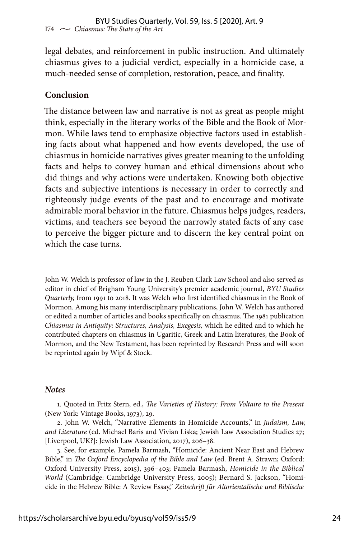legal debates, and reinforcement in public instruction. And ultimately chiasmus gives to a judicial verdict, especially in a homicide case, a much-needed sense of completion, restoration, peace, and finality.

#### **Conclusion**

The distance between law and narrative is not as great as people might think, especially in the literary works of the Bible and the Book of Mormon. While laws tend to emphasize objective factors used in establishing facts about what happened and how events developed, the use of chiasmus in homicide narratives gives greater meaning to the unfolding facts and helps to convey human and ethical dimensions about who did things and why actions were undertaken. Knowing both objective facts and subjective intentions is necessary in order to correctly and righteously judge events of the past and to encourage and motivate admirable moral behavior in the future. Chiasmus helps judges, readers, victims, and teachers see beyond the narrowly stated facts of any case to perceive the bigger picture and to discern the key central point on which the case turns.

#### *Notes*

1. Quoted in Fritz Stern, ed., *The Varieties of History: From Voltaire to the Present* (New York: Vintage Books, 1973), 29.

2. John W. Welch, "Narrative Elements in Homicide Accounts," in *Judaism, Law, and Literature* (ed. Michael Baris and Vivian Liska; Jewish Law Association Studies 27; [Liverpool, UK?]: Jewish Law Association, 2017), 206–38.

3. See, for example, Pamela Barmash, "Homicide: Ancient Near East and Hebrew Bible," in *The Oxford Encyclopedia of the Bible and Law* (ed. Brent A. Strawn; Oxford: Oxford University Press, 2015), 396–403; Pamela Barmash, *Homicide in the Biblical World* (Cambridge: Cambridge University Press, 2005); Bernard S. Jackson, "Homicide in the Hebrew Bible: A Review Essay," *Zeitschrift für Altorientalische und Biblische* 

John W. Welch is professor of law in the J. Reuben Clark Law School and also served as editor in chief of Brigham Young University's premier academic journal, *BYU Studies Quarterly,* from 1991 to 2018. It was Welch who first identified chiasmus in the Book of Mormon. Among his many interdisciplinary publications, John W. Welch has authored or edited a number of articles and books specifically on chiasmus. The 1981 publication *Chiasmus in Antiquity: Structures, Analysis, Exegesis,* which he edited and to which he contributed chapters on chiasmus in Ugaritic, Greek and Latin literatures, the Book of Mormon, and the New Testament, has been reprinted by Research Press and will soon be reprinted again by Wipf & Stock.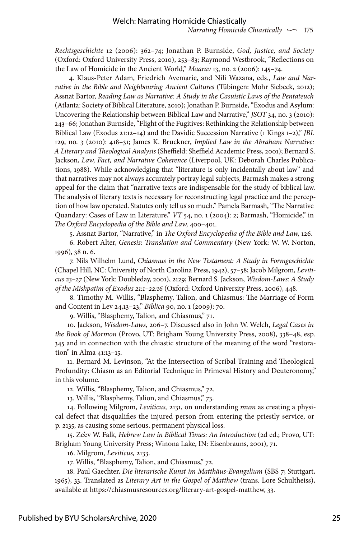*Narrating Homicide Chiastically*  $\sim$  175

*Rechtsgeschichte* 12 (2006): 362–74; Jonathan P. Burnside, *God, Justice, and Society* (Oxford: Oxford University Press, 2010), 253–83; Raymond Westbrook, "Reflections on the Law of Homicide in the Ancient World," *Maarav* 13, no. 2 (2006): 145–74.

4. Klaus-Peter Adam, Friedrich Avemarie, and Nili Wazana, eds., *Law and Narrative in the Bible and Neighbouring Ancient Cultures* (Tübingen: Mohr Siebeck, 2012); Assnat Bartor, *Reading Law as Narrative: A Study in the Casuistic Laws of the Pentateuch* (Atlanta: Society of Biblical Literature, 2010); Jonathan P. Burnside, "Exodus and Asylum: Uncovering the Relationship between Biblical Law and Narrative," *JSOT* 34, no. 3 (2010): 243–66; Jonathan Burnside, "Flight of the Fugitives: Rethinking the Relationship between Biblical Law (Exodus 21:12–14) and the Davidic Succession Narrative (1 Kings 1–2)," *JBL* 129, no. 3 (2010): 418–31; James K. Bruckner, *Implied Law in the Abraham Narrative: A Literary and Theological Analysis* (Sheffield: Sheffield Academic Press, 2001); Bernard S. Jackson, *Law, Fact, and Narrative Coherence* (Liverpool, UK: Deborah Charles Publications, 1988). While acknowledging that "literature is only incidentally about law" and that narratives may not always accurately portray legal subjects, Barmash makes a strong appeal for the claim that "narrative texts are indispensable for the study of biblical law. The analysis of literary texts is necessary for reconstructing legal practice and the perception of how law operated. Statutes only tell us so much." Pamela Barmash, "The Narrative Quandary: Cases of Law in Literature," VT 54, no. 1 (2004): 2; Barmash, "Homicide," in *The Oxford Encyclopedia of the Bible and Law,* 400–401.

5. Assnat Bartor, "Narrative," in *The Oxford Encyclopedia of the Bible and Law,* 126.

6. Robert Alter, *Genesis: Translation and Commentary* (New York: W. W. Norton, 1996), 38 n. 6.

7. Nils Wilhelm Lund, *Chiasmus in the New Testament: A Study in Formgeschichte* (Chapel Hill, NC: University of North Carolina Press, 1942), 57–58; Jacob Milgrom, *Leviticus 23–27* (New York: Doubleday, 2001), 2129; Bernard S. Jackson, *Wisdom-Laws: A Study of the Mishpatim of Exodus 21:1–22:16* (Oxford: Oxford University Press, 2006), 448.

8. Timothy M. Willis, "Blasphemy, Talion, and Chiasmus: The Marriage of Form and Content in Lev 24,13–23," *Biblica* 90, no. 1 (2009): 70.

9. Willis, "Blasphemy, Talion, and Chiasmus," 71.

10. Jackson, *Wisdom-Laws,* 206–7. Discussed also in John W. Welch, *Legal Cases in the Book of Mormon* (Provo, UT: Brigham Young University Press, 2008), 338–48, esp. 345 and in connection with the chiastic structure of the meaning of the word "restoration" in Alma 41:13–15.

11. Bernard M. Levinson, "At the Intersection of Scribal Training and Theological Profundity: Chiasm as an Editorial Technique in Primeval History and Deuteronomy," in this volume.

12. Willis, "Blasphemy, Talion, and Chiasmus," 72.

13. Willis, "Blasphemy, Talion, and Chiasmus," 73.

14. Following Milgrom, *Leviticus,* 2131, on understanding *mum* as creating a physical defect that disqualifies the injured person from entering the priestly service, or p. 2135, as causing some serious, permanent physical loss.

15. Ze'ev W. Falk, *Hebrew Law in Biblical Times: An Introduction* (2d ed.; Provo, UT: Brigham Young University Press; Winona Lake, IN: Eisenbrauns, 2001), 71.

16. Milgrom, *Leviticus,* 2133.

17. Willis, "Blasphemy, Talion, and Chiasmus," 72.

18. Paul Gaechter, *Die literarische Kunst im Matthäus-Evangelium* (SBS 7; Stuttgart, 1965), 33. Translated as *Literary Art in the Gospel of Matthew* (trans. Lore Schultheiss), available at [https://chiasmusresources.org/literary-art-gospel-matthew,](https://chiasmusresources.org/literary-art-gospel-matthew) 33.